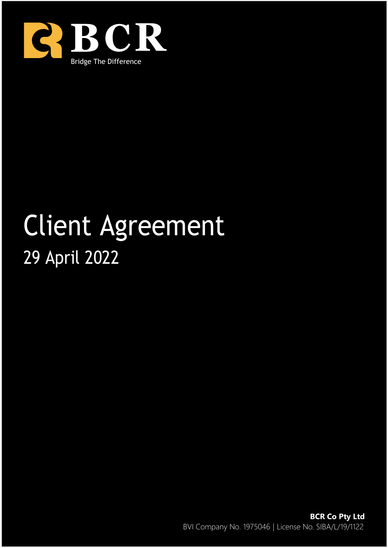

# Client Agreement 29 April 2022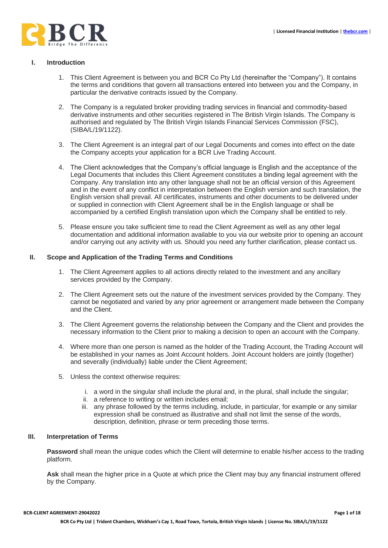

## **I. Introduction**

- 1. This Client Agreement is between you and BCR Co Pty Ltd (hereinafter the "Company"). It contains the terms and conditions that govern all transactions entered into between you and the Company, in particular the derivative contracts issued by the Company.
- 2. The Company is a regulated broker providing trading services in financial and commodity-based derivative instruments and other securities registered in The British Virgin Islands. The Company is authorised and regulated by The British Virgin Islands Financial Services Commission (FSC), (SIBA/L/19/1122).
- 3. The Client Agreement is an integral part of our Legal Documents and comes into effect on the date the Company accepts your application for a BCR Live Trading Account.
- 4. The Client acknowledges that the Company's official language is English and the acceptance of the Legal Documents that includes this Client Agreement constitutes a binding legal agreement with the Company. Any translation into any other language shall not be an official version of this Agreement and in the event of any conflict in interpretation between the English version and such translation, the English version shall prevail. All certificates, instruments and other documents to be delivered under or supplied in connection with Client Agreement shall be in the English language or shall be accompanied by a certified English translation upon which the Company shall be entitled to rely.
- 5. Please ensure you take sufficient time to read the Client Agreement as well as any other legal documentation and additional information available to you via our website prior to opening an account and/or carrying out any activity with us. Should you need any further clarification, please contact us.

### **II. Scope and Application of the Trading Terms and Conditions**

- 1. The Client Agreement applies to all actions directly related to the investment and any ancillary services provided by the Company.
- 2. The Client Agreement sets out the nature of the investment services provided by the Company. They cannot be negotiated and varied by any prior agreement or arrangement made between the Company and the Client.
- 3. The Client Agreement governs the relationship between the Company and the Client and provides the necessary information to the Client prior to making a decision to open an account with the Company.
- 4. Where more than one person is named as the holder of the Trading Account, the Trading Account will be established in your names as Joint Account holders. Joint Account holders are jointly (together) and severally (individually) liable under the Client Agreement;
- 5. Unless the context otherwise requires:
	- i. a word in the singular shall include the plural and, in the plural, shall include the singular;
	- ii. a reference to writing or written includes email;
	- iii. any phrase followed by the terms including, include, in particular, for example or any similar expression shall be construed as illustrative and shall not limit the sense of the words, description, definition, phrase or term preceding those terms.

#### **III. Interpretation of Terms**

Password shall mean the unique codes which the Client will determine to enable his/her access to the trading platform.

**Ask** shall mean the higher price in a Quote at which price the Client may buy any financial instrument offered by the Company.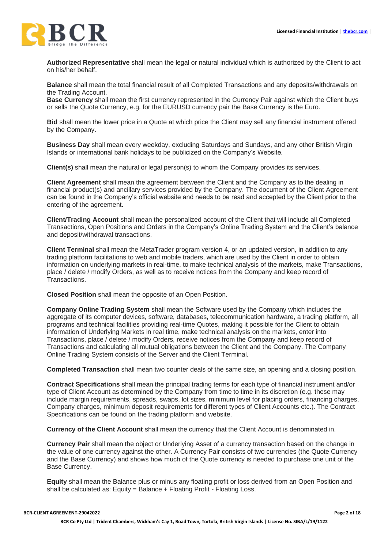

**Authorized Representative** shall mean the legal or natural individual which is authorized by the Client to act on his/her behalf.

**Balance** shall mean the total financial result of all Completed Transactions and any deposits/withdrawals on the Trading Account.

**Base Currency** shall mean the first currency represented in the Currency Pair against which the Client buys or sells the Quote Currency, e.g. for the EURUSD currency pair the Base Currency is the Euro.

**Bid** shall mean the lower price in a Quote at which price the Client may sell any financial instrument offered by the Company.

**Business Day** shall mean every weekday, excluding Saturdays and Sundays, and any other British Virgin Islands or international bank holidays to be publicized on the Company's Website.

**Client(s)** shall mean the natural or legal person(s) to whom the Company provides its services.

**Client Agreement** shall mean the agreement between the Client and the Company as to the dealing in financial product(s) and ancillary services provided by the Company. The document of the Client Agreement can be found in the Company's official website and needs to be read and accepted by the Client prior to the entering of the agreement.

**Client/Trading Account** shall mean the personalized account of the Client that will include all Completed Transactions, Open Positions and Orders in the Company's Online Trading System and the Client's balance and deposit/withdrawal transactions.

**Client Terminal** shall mean the MetaTrader program version 4, or an updated version, in addition to any trading platform facilitations to web and mobile traders, which are used by the Client in order to obtain information on underlying markets in real-time, to make technical analysis of the markets, make Transactions, place / delete / modify Orders, as well as to receive notices from the Company and keep record of Transactions.

**Closed Position** shall mean the opposite of an Open Position.

**Company Online Trading System** shall mean the Software used by the Company which includes the aggregate of its computer devices, software, databases, telecommunication hardware, a trading platform, all programs and technical facilities providing real-time Quotes, making it possible for the Client to obtain information of Underlying Markets in real time, make technical analysis on the markets, enter into Transactions, place / delete / modify Orders, receive notices from the Company and keep record of Transactions and calculating all mutual obligations between the Client and the Company. The Company Online Trading System consists of the Server and the Client Terminal.

**Completed Transaction** shall mean two counter deals of the same size, an opening and a closing position.

**Contract Specifications** shall mean the principal trading terms for each type of financial instrument and/or type of Client Account as determined by the Company from time to time in its discretion (e.g. these may include margin requirements, spreads, swaps, lot sizes, minimum level for placing orders, financing charges, Company charges, minimum deposit requirements for different types of Client Accounts etc.). The Contract Specifications can be found on the trading platform and website.

**Currency of the Client Account** shall mean the currency that the Client Account is denominated in.

**Currency Pair** shall mean the object or Underlying Asset of a currency transaction based on the change in the value of one currency against the other. A Currency Pair consists of two currencies (the Quote Currency and the Base Currency) and shows how much of the Quote currency is needed to purchase one unit of the Base Currency.

**Equity** shall mean the Balance plus or minus any floating profit or loss derived from an Open Position and shall be calculated as: Equity = Balance + Floating Profit - Floating Loss.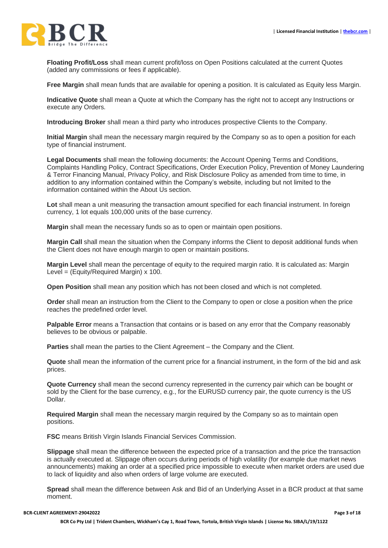

**Floating Profit/Loss** shall mean current profit/loss on Open Positions calculated at the current Quotes (added any commissions or fees if applicable).

**Free Margin** shall mean funds that are available for opening a position. It is calculated as Equity less Margin.

**Indicative Quote** shall mean a Quote at which the Company has the right not to accept any Instructions or execute any Orders.

**Introducing Broker** shall mean a third party who introduces prospective Clients to the Company.

**Initial Margin** shall mean the necessary margin required by the Company so as to open a position for each type of financial instrument.

**Legal Documents** shall mean the following documents: the Account Opening Terms and Conditions, Complaints Handling Policy, Contract Specifications, Order Execution Policy, Prevention of Money Laundering & Terror Financing Manual, Privacy Policy, and Risk Disclosure Policy as amended from time to time, in addition to any information contained within the Company's website, including but not limited to the information contained within the About Us section.

**Lot** shall mean a unit measuring the transaction amount specified for each financial instrument. In foreign currency, 1 lot equals 100,000 units of the base currency.

**Margin** shall mean the necessary funds so as to open or maintain open positions.

**Margin Call** shall mean the situation when the Company informs the Client to deposit additional funds when the Client does not have enough margin to open or maintain positions.

**Margin Level** shall mean the percentage of equity to the required margin ratio. It is calculated as: Margin Level =  $(Equity/Required Margin) \times 100$ .

**Open Position** shall mean any position which has not been closed and which is not completed.

**Order** shall mean an instruction from the Client to the Company to open or close a position when the price reaches the predefined order level.

**Palpable Error** means a Transaction that contains or is based on any error that the Company reasonably believes to be obvious or palpable.

**Parties** shall mean the parties to the Client Agreement – the Company and the Client.

**Quote** shall mean the information of the current price for a financial instrument, in the form of the bid and ask prices.

**Quote Currency** shall mean the second currency represented in the currency pair which can be bought or sold by the Client for the base currency, e.g., for the EURUSD currency pair, the quote currency is the US Dollar.

**Required Margin** shall mean the necessary margin required by the Company so as to maintain open positions.

**FSC** means British Virgin Islands Financial Services Commission.

**Slippage** shall mean the difference between the expected price of a transaction and the price the transaction is actually executed at. Slippage often occurs during periods of high volatility (for example due market news announcements) making an order at a specified price impossible to execute when market orders are used due to lack of liquidity and also when orders of large volume are executed.

**Spread** shall mean the difference between Ask and Bid of an Underlying Asset in a BCR product at that same moment.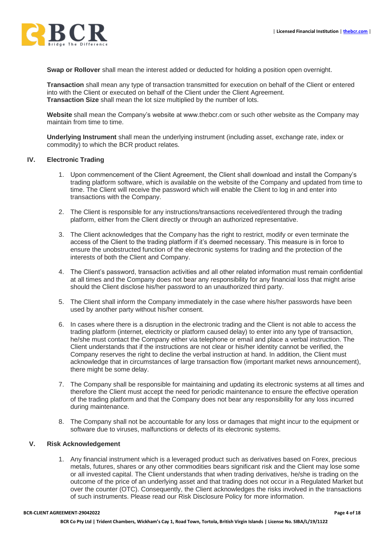

**Swap or Rollover** shall mean the interest added or deducted for holding a position open overnight.

**Transaction** shall mean any type of transaction transmitted for execution on behalf of the Client or entered into with the Client or executed on behalf of the Client under the Client Agreement. **Transaction Size** shall mean the lot size multiplied by the number of lots.

**Website** shall mean the Company's website at www.thebcr.com or such other website as the Company may maintain from time to time.

**Underlying Instrument** shall mean the underlying instrument (including asset, exchange rate, index or commodity) to which the BCR product relates.

### **IV. Electronic Trading**

- 1. Upon commencement of the Client Agreement, the Client shall download and install the Company's trading platform software, which is available on the website of the Company and updated from time to time. The Client will receive the password which will enable the Client to log in and enter into transactions with the Company.
- 2. The Client is responsible for any instructions/transactions received/entered through the trading platform, either from the Client directly or through an authorized representative.
- 3. The Client acknowledges that the Company has the right to restrict, modify or even terminate the access of the Client to the trading platform if it's deemed necessary. This measure is in force to ensure the unobstructed function of the electronic systems for trading and the protection of the interests of both the Client and Company.
- 4. The Client's password, transaction activities and all other related information must remain confidential at all times and the Company does not bear any responsibility for any financial loss that might arise should the Client disclose his/her password to an unauthorized third party.
- 5. The Client shall inform the Company immediately in the case where his/her passwords have been used by another party without his/her consent.
- 6. In cases where there is a disruption in the electronic trading and the Client is not able to access the trading platform (internet, electricity or platform caused delay) to enter into any type of transaction, he/she must contact the Company either via telephone or email and place a verbal instruction. The Client understands that if the instructions are not clear or his/her identity cannot be verified, the Company reserves the right to decline the verbal instruction at hand. In addition, the Client must acknowledge that in circumstances of large transaction flow (important market news announcement), there might be some delay.
- 7. The Company shall be responsible for maintaining and updating its electronic systems at all times and therefore the Client must accept the need for periodic maintenance to ensure the effective operation of the trading platform and that the Company does not bear any responsibility for any loss incurred during maintenance.
- 8. The Company shall not be accountable for any loss or damages that might incur to the equipment or software due to viruses, malfunctions or defects of its electronic systems.

#### **V. Risk Acknowledgement**

1. Any financial instrument which is a leveraged product such as derivatives based on Forex, precious metals, futures, shares or any other commodities bears significant risk and the Client may lose some or all invested capital. The Client understands that when trading derivatives, he/she is trading on the outcome of the price of an underlying asset and that trading does not occur in a Regulated Market but over the counter (OTC). Consequently, the Client acknowledges the risks involved in the transactions of such instruments. Please read our Risk Disclosure Policy for more information.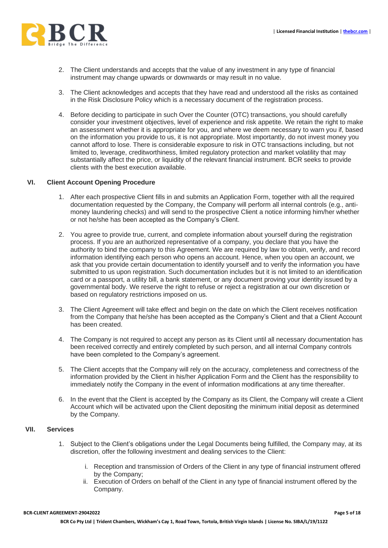

- 2. The Client understands and accepts that the value of any investment in any type of financial instrument may change upwards or downwards or may result in no value.
- 3. The Client acknowledges and accepts that they have read and understood all the risks as contained in the Risk Disclosure Policy which is a necessary document of the registration process.
- 4. Before deciding to participate in such Over the Counter (OTC) transactions, you should carefully consider your investment objectives, level of experience and risk appetite. We retain the right to make an assessment whether it is appropriate for you, and where we deem necessary to warn you if, based on the information you provide to us, it is not appropriate. Most importantly, do not invest money you cannot afford to lose. There is considerable exposure to risk in OTC transactions including, but not limited to, leverage, creditworthiness, limited regulatory protection and market volatility that may substantially affect the price, or liquidity of the relevant financial instrument. BCR seeks to provide clients with the best execution available.

# **VI. Client Account Opening Procedure**

- 1. After each prospective Client fills in and submits an Application Form, together with all the required documentation requested by the Company, the Company will perform all internal controls (e.g., antimoney laundering checks) and will send to the prospective Client a notice informing him/her whether or not he/she has been accepted as the Company's Client.
- 2. You agree to provide true, current, and complete information about yourself during the registration process. If you are an authorized representative of a company, you declare that you have the authority to bind the company to this Agreement. We are required by law to obtain, verify, and record information identifying each person who opens an account. Hence, when you open an account, we ask that you provide certain documentation to identify yourself and to verify the information you have submitted to us upon registration. Such documentation includes but it is not limited to an identification card or a passport, a utility bill, a bank statement, or any document proving your identity issued by a governmental body. We reserve the right to refuse or reject a registration at our own discretion or based on regulatory restrictions imposed on us.
- 3. The Client Agreement will take effect and begin on the date on which the Client receives notification from the Company that he/she has been accepted as the Company's Client and that a Client Account has been created.
- 4. The Company is not required to accept any person as its Client until all necessary documentation has been received correctly and entirely completed by such person, and all internal Company controls have been completed to the Company's agreement.
- 5. The Client accepts that the Company will rely on the accuracy, completeness and correctness of the information provided by the Client in his/her Application Form and the Client has the responsibility to immediately notify the Company in the event of information modifications at any time thereafter.
- 6. In the event that the Client is accepted by the Company as its Client, the Company will create a Client Account which will be activated upon the Client depositing the minimum initial deposit as determined by the Company.

#### **VII. Services**

- 1. Subject to the Client's obligations under the Legal Documents being fulfilled, the Company may, at its discretion, offer the following investment and dealing services to the Client:
	- i. Reception and transmission of Orders of the Client in any type of financial instrument offered by the Company;
	- ii. Execution of Orders on behalf of the Client in any type of financial instrument offered by the Company.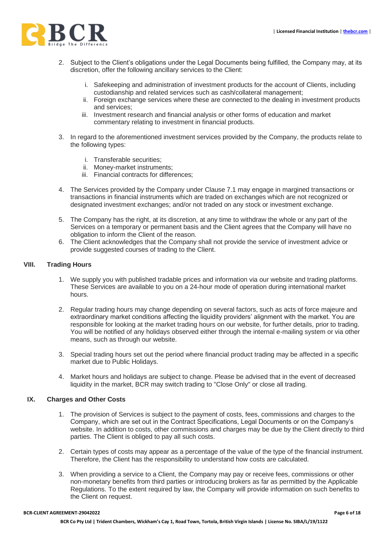

- 2. Subject to the Client's obligations under the Legal Documents being fulfilled, the Company may, at its discretion, offer the following ancillary services to the Client:
	- i. Safekeeping and administration of investment products for the account of Clients, including custodianship and related services such as cash/collateral management;
	- ii. Foreign exchange services where these are connected to the dealing in investment products and services;
	- iii. Investment research and financial analysis or other forms of education and market commentary relating to investment in financial products.
- 3. In regard to the aforementioned investment services provided by the Company, the products relate to the following types:
	- i. Transferable securities;
	- ii. Money-market instruments;
	- iii. Financial contracts for differences;
- 4. The Services provided by the Company under Clause 7.1 may engage in margined transactions or transactions in financial instruments which are traded on exchanges which are not recognized or designated investment exchanges; and/or not traded on any stock or investment exchange.
- 5. The Company has the right, at its discretion, at any time to withdraw the whole or any part of the Services on a temporary or permanent basis and the Client agrees that the Company will have no obligation to inform the Client of the reason.
- 6. The Client acknowledges that the Company shall not provide the service of investment advice or provide suggested courses of trading to the Client.

### **VIII. Trading Hours**

- 1. We supply you with published tradable prices and information via our website and trading platforms. These Services are available to you on a 24-hour mode of operation during international market hours.
- 2. Regular trading hours may change depending on several factors, such as acts of force majeure and extraordinary market conditions affecting the liquidity providers' alignment with the market. You are responsible for looking at the market trading hours on our website, for further details, prior to trading. You will be notified of any holidays observed either through the internal e-mailing system or via other means, such as through our website.
- 3. Special trading hours set out the period where financial product trading may be affected in a specific market due to Public Holidays.
- 4. Market hours and holidays are subject to change. Please be advised that in the event of decreased liquidity in the market, BCR may switch trading to "Close Only" or close all trading.

## **IX. Charges and Other Costs**

- 1. The provision of Services is subject to the payment of costs, fees, commissions and charges to the Company, which are set out in the Contract Specifications, Legal Documents or on the Company's website. In addition to costs, other commissions and charges may be due by the Client directly to third parties. The Client is obliged to pay all such costs.
- 2. Certain types of costs may appear as a percentage of the value of the type of the financial instrument. Therefore, the Client has the responsibility to understand how costs are calculated.
- 3. When providing a service to a Client, the Company may pay or receive fees, commissions or other non-monetary benefits from third parties or introducing brokers as far as permitted by the Applicable Regulations. To the extent required by law, the Company will provide information on such benefits to the Client on request.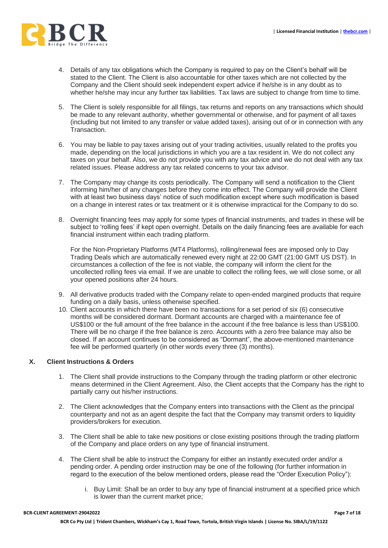

- 4. Details of any tax obligations which the Company is required to pay on the Client's behalf will be stated to the Client. The Client is also accountable for other taxes which are not collected by the Company and the Client should seek independent expert advice if he/she is in any doubt as to whether he/she may incur any further tax liabilities. Tax laws are subject to change from time to time.
- 5. The Client is solely responsible for all filings, tax returns and reports on any transactions which should be made to any relevant authority, whether governmental or otherwise, and for payment of all taxes (including but not limited to any transfer or value added taxes), arising out of or in connection with any Transaction.
- 6. You may be liable to pay taxes arising out of your trading activities, usually related to the profits you made, depending on the local jurisdictions in which you are a tax resident in. We do not collect any taxes on your behalf. Also, we do not provide you with any tax advice and we do not deal with any tax related issues. Please address any tax related concerns to your tax advisor.
- 7. The Company may change its costs periodically. The Company will send a notification to the Client informing him/her of any changes before they come into effect. The Company will provide the Client with at least two business days' notice of such modification except where such modification is based on a change in interest rates or tax treatment or it is otherwise impractical for the Company to do so.
- 8. Overnight financing fees may apply for some types of financial instruments, and trades in these will be subject to 'rolling fees' if kept open overnight. Details on the daily financing fees are available for each financial instrument within each trading platform.

For the Non-Proprietary Platforms (MT4 Platforms), rolling/renewal fees are imposed only to Day Trading Deals which are automatically renewed every night at 22:00 GMT (21:00 GMT US DST). In circumstances a collection of the fee is not viable, the company will inform the client for the uncollected rolling fees via email. If we are unable to collect the rolling fees, we will close some, or all your opened positions after 24 hours.

- 9. All derivative products traded with the Company relate to open-ended margined products that require funding on a daily basis, unless otherwise specified.
- 10. Client accounts in which there have been no transactions for a set period of six (6) consecutive months will be considered dormant. Dormant accounts are charged with a maintenance fee of US\$100 or the full amount of the free balance in the account if the free balance is less than US\$100. There will be no charge if the free balance is zero. Accounts with a zero free balance may also be closed. If an account continues to be considered as "Dormant", the above-mentioned maintenance fee will be performed quarterly (in other words every three (3) months).

## **X. Client Instructions & Orders**

- 1. The Client shall provide instructions to the Company through the trading platform or other electronic means determined in the Client Agreement. Also, the Client accepts that the Company has the right to partially carry out his/her instructions.
- 2. The Client acknowledges that the Company enters into transactions with the Client as the principal counterparty and not as an agent despite the fact that the Company may transmit orders to liquidity providers/brokers for execution.
- 3. The Client shall be able to take new positions or close existing positions through the trading platform of the Company and place orders on any type of financial instrument.
- 4. The Client shall be able to instruct the Company for either an instantly executed order and/or a pending order. A pending order instruction may be one of the following (for further information in regard to the execution of the below mentioned orders, please read the "Order Execution Policy"):
	- i. Buy Limit: Shall be an order to buy any type of financial instrument at a specified price which is lower than the current market price;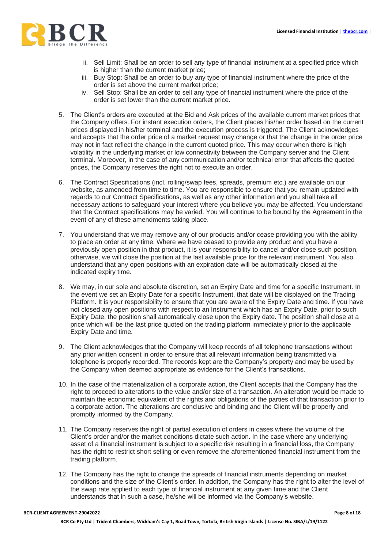

- ii. Sell Limit: Shall be an order to sell any type of financial instrument at a specified price which is higher than the current market price;
- iii. Buy Stop: Shall be an order to buy any type of financial instrument where the price of the order is set above the current market price;
- iv. Sell Stop: Shall be an order to sell any type of financial instrument where the price of the order is set lower than the current market price.
- 5. The Client's orders are executed at the Bid and Ask prices of the available current market prices that the Company offers. For instant execution orders, the Client places his/her order based on the current prices displayed in his/her terminal and the execution process is triggered. The Client acknowledges and accepts that the order price of a market request may change or that the change in the order price may not in fact reflect the change in the current quoted price. This may occur when there is high volatility in the underlying market or low connectivity between the Company server and the Client terminal. Moreover, in the case of any communication and/or technical error that affects the quoted prices, the Company reserves the right not to execute an order.
- 6. The Contract Specifications (incl. rolling/swap fees, spreads, premium etc.) are available on our website, as amended from time to time. You are responsible to ensure that you remain updated with regards to our Contract Specifications, as well as any other information and you shall take all necessary actions to safeguard your interest where you believe you may be affected. You understand that the Contract specifications may be varied. You will continue to be bound by the Agreement in the event of any of these amendments taking place.
- 7. You understand that we may remove any of our products and/or cease providing you with the ability to place an order at any time. Where we have ceased to provide any product and you have a previously open position in that product, it is your responsibility to cancel and/or close such position, otherwise, we will close the position at the last available price for the relevant instrument. You also understand that any open positions with an expiration date will be automatically closed at the indicated expiry time.
- 8. We may, in our sole and absolute discretion, set an Expiry Date and time for a specific Instrument. In the event we set an Expiry Date for a specific Instrument, that date will be displayed on the Trading Platform. It is your responsibility to ensure that you are aware of the Expiry Date and time. If you have not closed any open positions with respect to an Instrument which has an Expiry Date, prior to such Expiry Date, the position shall automatically close upon the Expiry date. The position shall close at a price which will be the last price quoted on the trading platform immediately prior to the applicable Expiry Date and time.
- 9. The Client acknowledges that the Company will keep records of all telephone transactions without any prior written consent in order to ensure that all relevant information being transmitted via telephone is properly recorded. The records kept are the Company's property and may be used by the Company when deemed appropriate as evidence for the Client's transactions.
- 10. In the case of the materialization of a corporate action, the Client accepts that the Company has the right to proceed to alterations to the value and/or size of a transaction. An alteration would be made to maintain the economic equivalent of the rights and obligations of the parties of that transaction prior to a corporate action. The alterations are conclusive and binding and the Client will be properly and promptly informed by the Company.
- 11. The Company reserves the right of partial execution of orders in cases where the volume of the Client's order and/or the market conditions dictate such action. In the case where any underlying asset of a financial instrument is subject to a specific risk resulting in a financial loss, the Company has the right to restrict short selling or even remove the aforementioned financial instrument from the trading platform.
- 12. The Company has the right to change the spreads of financial instruments depending on market conditions and the size of the Client's order. In addition, the Company has the right to alter the level of the swap rate applied to each type of financial instrument at any given time and the Client understands that in such a case, he/she will be informed via the Company's website.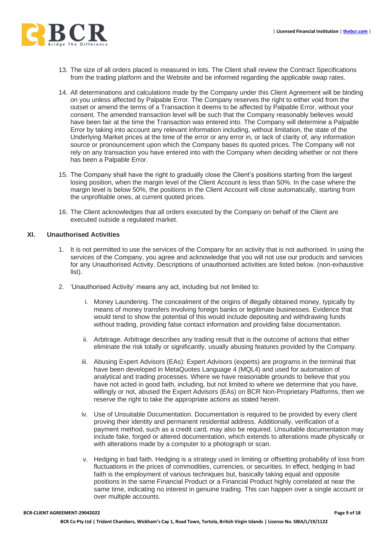

- 13. The size of all orders placed is measured in lots. The Client shall review the Contract Specifications from the trading platform and the Website and be informed regarding the applicable swap rates.
- 14. All determinations and calculations made by the Company under this Client Agreement will be binding on you unless affected by Palpable Error. The Company reserves the right to either void from the outset or amend the terms of a Transaction it deems to be affected by Palpable Error, without your consent. The amended transaction level will be such that the Company reasonably believes would have been fair at the time the Transaction was entered into. The Company will determine a Palpable Error by taking into account any relevant information including, without limitation, the state of the Underlying Market prices at the time of the error or any error in, or lack of clarity of, any information source or pronouncement upon which the Company bases its quoted prices. The Company will not rely on any transaction you have entered into with the Company when deciding whether or not there has been a Palpable Error.
- 15. The Company shall have the right to gradually close the Client's positions starting from the largest losing position, when the margin level of the Client Account is less than 50%. In the case where the margin level is below 50%, the positions in the Client Account will close automatically, starting from the unprofitable ones, at current quoted prices.
- 16. The Client acknowledges that all orders executed by the Company on behalf of the Client are executed outside a regulated market.

### **XI. Unauthorised Activities**

- 1. It is not permitted to use the services of the Company for an activity that is not authorised. In using the services of the Company, you agree and acknowledge that you will not use our products and services for any Unauthorised Activity. Descriptions of unauthorised activities are listed below. (non-exhaustive list).
- 2. 'Unauthorised Activity' means any act, including but not limited to:
	- i. Money Laundering. The concealment of the origins of illegally obtained money, typically by means of money transfers involving foreign banks or legitimate businesses. Evidence that would tend to show the potential of this would include depositing and withdrawing funds without trading, providing false contact information and providing false documentation.
	- ii. Arbitrage. Arbitrage describes any trading result that is the outcome of actions that either eliminate the risk totally or significantly, usually abusing features provided by the Company.
	- iii. Abusing Expert Advisors (EAs): Expert Advisors (experts) are programs in the terminal that have been developed in MetaQuotes Language 4 (MQL4) and used for automation of analytical and trading processes. Where we have reasonable grounds to believe that you have not acted in good faith, including, but not limited to where we determine that you have, willingly or not, abused the Expert Advisors (EAs) on BCR Non-Proprietary Platforms, then we reserve the right to take the appropriate actions as stated herein.
	- iv. Use of Unsuitable Documentation. Documentation is required to be provided by every client proving their identity and permanent residential address. Additionally, verification of a payment method, such as a credit card, may also be required. Unsuitable documentation may include fake, forged or altered documentation, which extends to alterations made physically or with alterations made by a computer to a photograph or scan.
	- v. Hedging in bad faith. Hedging is a strategy used in limiting or offsetting probability of loss from fluctuations in the prices of commodities, currencies, or securities. In effect, hedging in bad faith is the employment of various techniques but, basically taking equal and opposite positions in the same Financial Product or a Financial Product highly correlated at near the same time, indicating no interest in genuine trading. This can happen over a single account or over multiple accounts.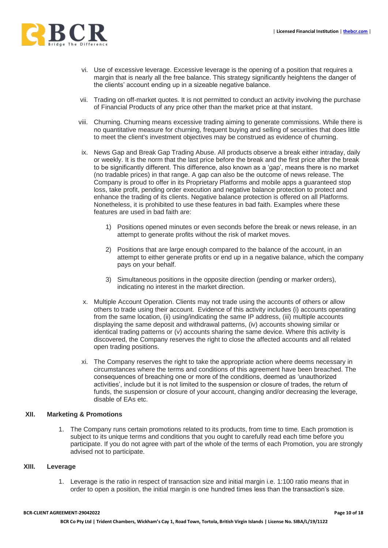

- vi. Use of excessive leverage. Excessive leverage is the opening of a position that requires a margin that is nearly all the free balance. This strategy significantly heightens the danger of the clients' account ending up in a sizeable negative balance.
- vii. Trading on off-market quotes. It is not permitted to conduct an activity involving the purchase of Financial Products of any price other than the market price at that instant.
- viii. Churning. Churning means excessive trading aiming to generate commissions. While there is no quantitative measure for churning, frequent buying and selling of securities that does little to meet the client's investment objectives may be construed as evidence of churning.
- ix. News Gap and Break Gap Trading Abuse. All products observe a break either intraday, daily or weekly. It is the norm that the last price before the break and the first price after the break to be significantly different. This difference, also known as a 'gap', means there is no market (no tradable prices) in that range. A gap can also be the outcome of news release. The Company is proud to offer in its Proprietary Platforms and mobile apps a guaranteed stop loss, take profit, pending order execution and negative balance protection to protect and enhance the trading of its clients. Negative balance protection is offered on all Platforms. Nonetheless, it is prohibited to use these features in bad faith. Examples where these features are used in bad faith are:
	- 1) Positions opened minutes or even seconds before the break or news release, in an attempt to generate profits without the risk of market moves.
	- 2) Positions that are large enough compared to the balance of the account, in an attempt to either generate profits or end up in a negative balance, which the company pays on your behalf.
	- 3) Simultaneous positions in the opposite direction (pending or marker orders), indicating no interest in the market direction.
- x. Multiple Account Operation. Clients may not trade using the accounts of others or allow others to trade using their account. Evidence of this activity includes (i) accounts operating from the same location, (ii) using/indicating the same IP address, (iii) multiple accounts displaying the same deposit and withdrawal patterns, (iv) accounts showing similar or identical trading patterns or (v) accounts sharing the same device. Where this activity is discovered, the Company reserves the right to close the affected accounts and all related open trading positions.
- xi. The Company reserves the right to take the appropriate action where deems necessary in circumstances where the terms and conditions of this agreement have been breached. The consequences of breaching one or more of the conditions, deemed as 'unauthorized activities', include but it is not limited to the suspension or closure of trades, the return of funds, the suspension or closure of your account, changing and/or decreasing the leverage, disable of EAs etc.

## **XII. Marketing & Promotions**

1. The Company runs certain promotions related to its products, from time to time. Each promotion is subject to its unique terms and conditions that you ought to carefully read each time before you participate. If you do not agree with part of the whole of the terms of each Promotion, you are strongly advised not to participate.

## **XIII. Leverage**

1. Leverage is the ratio in respect of transaction size and initial margin i.e. 1:100 ratio means that in order to open a position, the initial margin is one hundred times less than the transaction's size.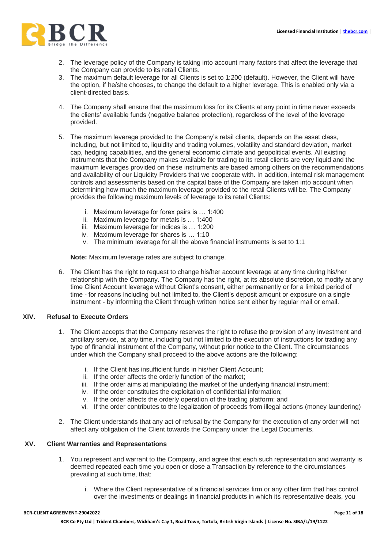

- 2. The leverage policy of the Company is taking into account many factors that affect the leverage that the Company can provide to its retail Clients.
- 3. The maximum default leverage for all Clients is set to 1:200 (default). However, the Client will have the option, if he/she chooses, to change the default to a higher leverage. This is enabled only via a client-directed basis.
- 4. The Company shall ensure that the maximum loss for its Clients at any point in time never exceeds the clients' available funds (negative balance protection), regardless of the level of the leverage provided.
- 5. The maximum leverage provided to the Company's retail clients, depends on the asset class, including, but not limited to, liquidity and trading volumes, volatility and standard deviation, market cap, hedging capabilities, and the general economic climate and geopolitical events. All existing instruments that the Company makes available for trading to its retail clients are very liquid and the maximum leverages provided on these instruments are based among others on the recommendations and availability of our Liquidity Providers that we cooperate with. In addition, internal risk management controls and assessments based on the capital base of the Company are taken into account when determining how much the maximum leverage provided to the retail Clients will be. The Company provides the following maximum levels of leverage to its retail Clients:
	- i. Maximum leverage for forex pairs is … 1:400
	- ii. Maximum leverage for metals is … 1:400
	- iii. Maximum leverage for indices is … 1:200
	- iv. Maximum leverage for shares is … 1:10
	- v. The minimum leverage for all the above financial instruments is set to 1:1

**Note:** Maximum leverage rates are subject to change.

6. The Client has the right to request to change his/her account leverage at any time during his/her relationship with the Company. The Company has the right, at its absolute discretion, to modify at any time Client Account leverage without Client's consent, either permanently or for a limited period of time - for reasons including but not limited to, the Client's deposit amount or exposure on a single instrument - by informing the Client through written notice sent either by regular mail or email.

## **XIV. Refusal to Execute Orders**

- 1. The Client accepts that the Company reserves the right to refuse the provision of any investment and ancillary service, at any time, including but not limited to the execution of instructions for trading any type of financial instrument of the Company, without prior notice to the Client. The circumstances under which the Company shall proceed to the above actions are the following:
	- i. If the Client has insufficient funds in his/her Client Account;
	- ii. If the order affects the orderly function of the market;
	- iii. If the order aims at manipulating the market of the underlying financial instrument;
	- iv. If the order constitutes the exploitation of confidential information;
	- v. If the order affects the orderly operation of the trading platform; and
	- vi. If the order contributes to the legalization of proceeds from illegal actions (money laundering)
- 2. The Client understands that any act of refusal by the Company for the execution of any order will not affect any obligation of the Client towards the Company under the Legal Documents.

## **XV. Client Warranties and Representations**

- 1. You represent and warrant to the Company, and agree that each such representation and warranty is deemed repeated each time you open or close a Transaction by reference to the circumstances prevailing at such time, that:
	- i. Where the Client representative of a financial services firm or any other firm that has control over the investments or dealings in financial products in which its representative deals, you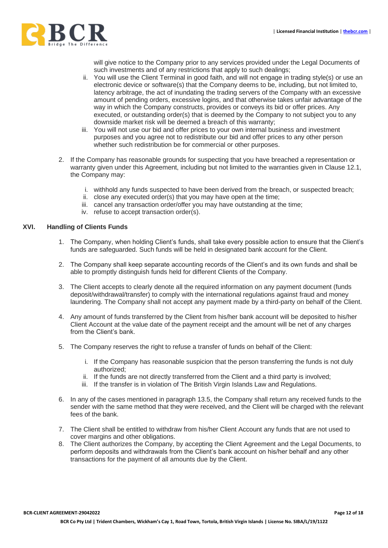

will give notice to the Company prior to any services provided under the Legal Documents of such investments and of any restrictions that apply to such dealings;

- ii. You will use the Client Terminal in good faith, and will not engage in trading style(s) or use an electronic device or software(s) that the Company deems to be, including, but not limited to, latency arbitrage, the act of inundating the trading servers of the Company with an excessive amount of pending orders, excessive logins, and that otherwise takes unfair advantage of the way in which the Company constructs, provides or conveys its bid or offer prices. Any executed, or outstanding order(s) that is deemed by the Company to not subject you to any downside market risk will be deemed a breach of this warranty;
- iii. You will not use our bid and offer prices to your own internal business and investment purposes and you agree not to redistribute our bid and offer prices to any other person whether such redistribution be for commercial or other purposes.
- 2. If the Company has reasonable grounds for suspecting that you have breached a representation or warranty given under this Agreement, including but not limited to the warranties given in Clause 12.1, the Company may:
	- i. withhold any funds suspected to have been derived from the breach, or suspected breach;
	- ii. close any executed order(s) that you may have open at the time;
	- iii. cancel any transaction order/offer you may have outstanding at the time;
	- iv. refuse to accept transaction order(s).

## **XVI. Handling of Clients Funds**

- 1. The Company, when holding Client's funds, shall take every possible action to ensure that the Client's funds are safeguarded. Such funds will be held in designated bank account for the Client.
- 2. The Company shall keep separate accounting records of the Client's and its own funds and shall be able to promptly distinguish funds held for different Clients of the Company.
- 3. The Client accepts to clearly denote all the required information on any payment document (funds deposit/withdrawal/transfer) to comply with the international regulations against fraud and money laundering. The Company shall not accept any payment made by a third-party on behalf of the Client.
- 4. Any amount of funds transferred by the Client from his/her bank account will be deposited to his/her Client Account at the value date of the payment receipt and the amount will be net of any charges from the Client's bank.
- 5. The Company reserves the right to refuse a transfer of funds on behalf of the Client:
	- i. If the Company has reasonable suspicion that the person transferring the funds is not duly authorized;
	- ii. If the funds are not directly transferred from the Client and a third party is involved;
	- iii. If the transfer is in violation of The British Virgin Islands Law and Regulations.
- 6. In any of the cases mentioned in paragraph 13.5, the Company shall return any received funds to the sender with the same method that they were received, and the Client will be charged with the relevant fees of the bank.
- 7. The Client shall be entitled to withdraw from his/her Client Account any funds that are not used to cover margins and other obligations.
- 8. The Client authorizes the Company, by accepting the Client Agreement and the Legal Documents, to perform deposits and withdrawals from the Client's bank account on his/her behalf and any other transactions for the payment of all amounts due by the Client.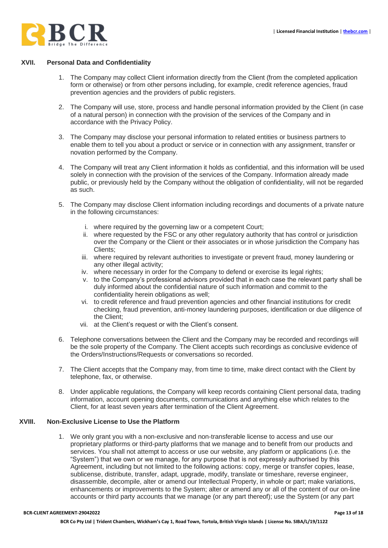

## **XVII. Personal Data and Confidentiality**

- 1. The Company may collect Client information directly from the Client (from the completed application form or otherwise) or from other persons including, for example, credit reference agencies, fraud prevention agencies and the providers of public registers.
- 2. The Company will use, store, process and handle personal information provided by the Client (in case of a natural person) in connection with the provision of the services of the Company and in accordance with the Privacy Policy.
- 3. The Company may disclose your personal information to related entities or business partners to enable them to tell you about a product or service or in connection with any assignment, transfer or novation performed by the Company.
- 4. The Company will treat any Client information it holds as confidential, and this information will be used solely in connection with the provision of the services of the Company. Information already made public, or previously held by the Company without the obligation of confidentiality, will not be regarded as such.
- 5. The Company may disclose Client information including recordings and documents of a private nature in the following circumstances:
	- i. where required by the governing law or a competent Court;
	- ii. where requested by the FSC or any other regulatory authority that has control or jurisdiction over the Company or the Client or their associates or in whose jurisdiction the Company has Clients;
	- iii. where required by relevant authorities to investigate or prevent fraud, money laundering or any other illegal activity;
	- iv. where necessary in order for the Company to defend or exercise its legal rights;
	- v. to the Company's professional advisors provided that in each case the relevant party shall be duly informed about the confidential nature of such information and commit to the confidentiality herein obligations as well;
	- vi. to credit reference and fraud prevention agencies and other financial institutions for credit checking, fraud prevention, anti-money laundering purposes, identification or due diligence of the Client;
	- vii. at the Client's request or with the Client's consent.
- 6. Telephone conversations between the Client and the Company may be recorded and recordings will be the sole property of the Company. The Client accepts such recordings as conclusive evidence of the Orders/Instructions/Requests or conversations so recorded.
- 7. The Client accepts that the Company may, from time to time, make direct contact with the Client by telephone, fax, or otherwise.
- 8. Under applicable regulations, the Company will keep records containing Client personal data, trading information, account opening documents, communications and anything else which relates to the Client, for at least seven years after termination of the Client Agreement.

## **XVIII. Non-Exclusive License to Use the Platform**

1. We only grant you with a non-exclusive and non-transferable license to access and use our proprietary platforms or third-party platforms that we manage and to benefit from our products and services. You shall not attempt to access or use our website, any platform or applications (i.e. the "System") that we own or we manage, for any purpose that is not expressly authorised by this Agreement, including but not limited to the following actions: copy, merge or transfer copies, lease, sublicense, distribute, transfer, adapt, upgrade, modify, translate or timeshare, reverse engineer, disassemble, decompile, alter or amend our Intellectual Property, in whole or part; make variations, enhancements or improvements to the System; alter or amend any or all of the content of our on-line accounts or third party accounts that we manage (or any part thereof); use the System (or any part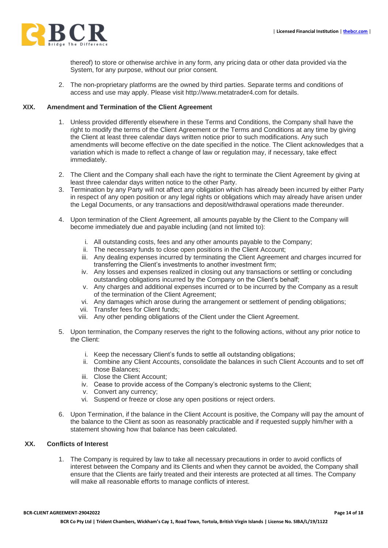

thereof) to store or otherwise archive in any form, any pricing data or other data provided via the System, for any purpose, without our prior consent.

2. The non-proprietary platforms are the owned by third parties. Separate terms and conditions of access and use may apply. Please visit http://www.metatrader4.com for details.

### **XIX. Amendment and Termination of the Client Agreement**

- 1. Unless provided differently elsewhere in these Terms and Conditions, the Company shall have the right to modify the terms of the Client Agreement or the Terms and Conditions at any time by giving the Client at least three calendar days written notice prior to such modifications. Any such amendments will become effective on the date specified in the notice. The Client acknowledges that a variation which is made to reflect a change of law or regulation may, if necessary, take effect immediately.
- 2. The Client and the Company shall each have the right to terminate the Client Agreement by giving at least three calendar days written notice to the other Party.
- 3. Termination by any Party will not affect any obligation which has already been incurred by either Party in respect of any open position or any legal rights or obligations which may already have arisen under the Legal Documents, or any transactions and deposit/withdrawal operations made thereunder.
- 4. Upon termination of the Client Agreement, all amounts payable by the Client to the Company will become immediately due and payable including (and not limited to):
	- i. All outstanding costs, fees and any other amounts payable to the Company;
	- ii. The necessary funds to close open positions in the Client Account;
	- iii. Any dealing expenses incurred by terminating the Client Agreement and charges incurred for transferring the Client's investments to another investment firm;
	- iv. Any losses and expenses realized in closing out any transactions or settling or concluding outstanding obligations incurred by the Company on the Client's behalf;
	- v. Any charges and additional expenses incurred or to be incurred by the Company as a result of the termination of the Client Agreement;
	- vi. Any damages which arose during the arrangement or settlement of pending obligations;
	- vii. Transfer fees for Client funds;
	- viii. Any other pending obligations of the Client under the Client Agreement.
- 5. Upon termination, the Company reserves the right to the following actions, without any prior notice to the Client:
	- i. Keep the necessary Client's funds to settle all outstanding obligations;
	- ii. Combine any Client Accounts, consolidate the balances in such Client Accounts and to set off those Balances;
	- iii. Close the Client Account;
	- iv. Cease to provide access of the Company's electronic systems to the Client;
	- v. Convert any currency;
	- vi. Suspend or freeze or close any open positions or reject orders.
- 6. Upon Termination, if the balance in the Client Account is positive, the Company will pay the amount of the balance to the Client as soon as reasonably practicable and if requested supply him/her with a statement showing how that balance has been calculated.

#### **XX. Conflicts of Interest**

1. The Company is required by law to take all necessary precautions in order to avoid conflicts of interest between the Company and its Clients and when they cannot be avoided, the Company shall ensure that the Clients are fairly treated and their interests are protected at all times. The Company will make all reasonable efforts to manage conflicts of interest.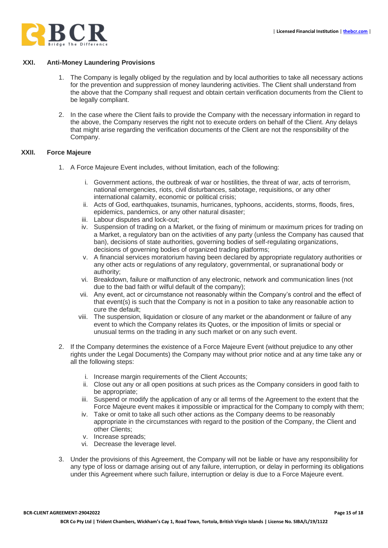

## **XXI. Anti-Money Laundering Provisions**

- 1. The Company is legally obliged by the regulation and by local authorities to take all necessary actions for the prevention and suppression of money laundering activities. The Client shall understand from the above that the Company shall request and obtain certain verification documents from the Client to be legally compliant.
- 2. In the case where the Client fails to provide the Company with the necessary information in regard to the above, the Company reserves the right not to execute orders on behalf of the Client. Any delays that might arise regarding the verification documents of the Client are not the responsibility of the Company.

### **XXII. Force Majeure**

- 1. A Force Majeure Event includes, without limitation, each of the following:
	- i. Government actions, the outbreak of war or hostilities, the threat of war, acts of terrorism, national emergencies, riots, civil disturbances, sabotage, requisitions, or any other international calamity, economic or political crisis;
	- ii. Acts of God, earthquakes, tsunamis, hurricanes, typhoons, accidents, storms, floods, fires, epidemics, pandemics, or any other natural disaster;
	- iii. Labour disputes and lock-out;
	- iv. Suspension of trading on a Market, or the fixing of minimum or maximum prices for trading on a Market, a regulatory ban on the activities of any party (unless the Company has caused that ban), decisions of state authorities, governing bodies of self-regulating organizations, decisions of governing bodies of organized trading platforms;
	- v. A financial services moratorium having been declared by appropriate regulatory authorities or any other acts or regulations of any regulatory, governmental, or supranational body or authority;
	- vi. Breakdown, failure or malfunction of any electronic, network and communication lines (not due to the bad faith or wilful default of the company);
	- vii. Any event, act or circumstance not reasonably within the Company's control and the effect of that event(s) is such that the Company is not in a position to take any reasonable action to cure the default;
	- viii. The suspension, liquidation or closure of any market or the abandonment or failure of any event to which the Company relates its Quotes, or the imposition of limits or special or unusual terms on the trading in any such market or on any such event.
- 2. If the Company determines the existence of a Force Majeure Event (without prejudice to any other rights under the Legal Documents) the Company may without prior notice and at any time take any or all the following steps:
	- i. Increase margin requirements of the Client Accounts;
	- ii. Close out any or all open positions at such prices as the Company considers in good faith to be appropriate;
	- iii. Suspend or modify the application of any or all terms of the Agreement to the extent that the Force Majeure event makes it impossible or impractical for the Company to comply with them;
	- iv. Take or omit to take all such other actions as the Company deems to be reasonably appropriate in the circumstances with regard to the position of the Company, the Client and other Clients;
	- v. Increase spreads;
	- vi. Decrease the leverage level.
- 3. Under the provisions of this Agreement, the Company will not be liable or have any responsibility for any type of loss or damage arising out of any failure, interruption, or delay in performing its obligations under this Agreement where such failure, interruption or delay is due to a Force Majeure event.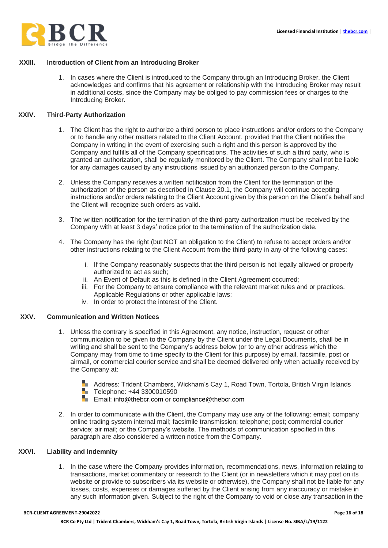

## **XXIII. Introduction of Client from an Introducing Broker**

1. In cases where the Client is introduced to the Company through an Introducing Broker, the Client acknowledges and confirms that his agreement or relationship with the Introducing Broker may result in additional costs, since the Company may be obliged to pay commission fees or charges to the Introducing Broker.

### **XXIV. Third-Party Authorization**

- 1. The Client has the right to authorize a third person to place instructions and/or orders to the Company or to handle any other matters related to the Client Account, provided that the Client notifies the Company in writing in the event of exercising such a right and this person is approved by the Company and fulfills all of the Company specifications. The activities of such a third party, who is granted an authorization, shall be regularly monitored by the Client. The Company shall not be liable for any damages caused by any instructions issued by an authorized person to the Company.
- 2. Unless the Company receives a written notification from the Client for the termination of the authorization of the person as described in Clause 20.1, the Company will continue accepting instructions and/or orders relating to the Client Account given by this person on the Client's behalf and the Client will recognize such orders as valid.
- 3. The written notification for the termination of the third-party authorization must be received by the Company with at least 3 days' notice prior to the termination of the authorization date.
- 4. The Company has the right (but NOT an obligation to the Client) to refuse to accept orders and/or other instructions relating to the Client Account from the third-party in any of the following cases:
	- i. If the Company reasonably suspects that the third person is not legally allowed or properly authorized to act as such;
	- ii. An Event of Default as this is defined in the Client Agreement occurred;
	- iii. For the Company to ensure compliance with the relevant market rules and or practices, Applicable Regulations or other applicable laws;
	- iv. In order to protect the interest of the Client.

#### **XXV. Communication and Written Notices**

- 1. Unless the contrary is specified in this Agreement, any notice, instruction, request or other communication to be given to the Company by the Client under the Legal Documents, shall be in writing and shall be sent to the Company's address below (or to any other address which the Company may from time to time specify to the Client for this purpose) by email, facsimile, post or airmail, or commercial courier service and shall be deemed delivered only when actually received by the Company at:
	- **H** Address: Trident Chambers, Wickham's Cay 1, Road Town, Tortola, British Virgin Islands Telephone: +44 3300010590
	- **Example 2** Email: info@thebcr.com or compliance@thebcr.com
- 2. In order to communicate with the Client, the Company may use any of the following: email; company online trading system internal mail; facsimile transmission; telephone; post; commercial courier service; air mail; or the Company's website. The methods of communication specified in this paragraph are also considered a written notice from the Company.

## **XXVI. Liability and Indemnity**

1. In the case where the Company provides information, recommendations, news, information relating to transactions, market commentary or research to the Client (or in newsletters which it may post on its website or provide to subscribers via its website or otherwise), the Company shall not be liable for any losses, costs, expenses or damages suffered by the Client arising from any inaccuracy or mistake in any such information given. Subject to the right of the Company to void or close any transaction in the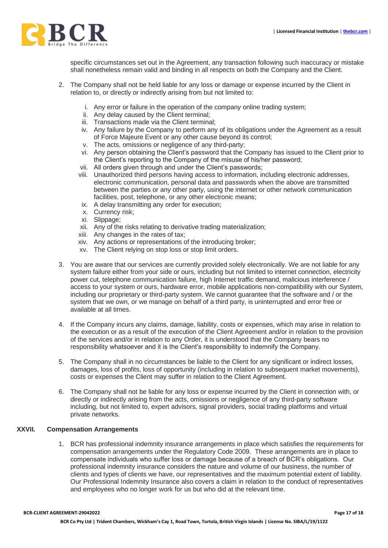

specific circumstances set out in the Agreement, any transaction following such inaccuracy or mistake shall nonetheless remain valid and binding in all respects on both the Company and the Client.

- 2. The Company shall not be held liable for any loss or damage or expense incurred by the Client in relation to, or directly or indirectly arising from but not limited to:
	- i. Any error or failure in the operation of the company online trading system;
	- ii. Any delay caused by the Client terminal;
	- iii. Transactions made via the Client terminal;
	- iv. Any failure by the Company to perform any of its obligations under the Agreement as a result of Force Majeure Event or any other cause beyond its control;
	- v. The acts, omissions or negligence of any third-party;
	- vi. Any person obtaining the Client's password that the Company has issued to the Client prior to the Client's reporting to the Company of the misuse of his/her password;
	- vii. All orders given through and under the Client's passwords;
	- viii. Unauthorized third persons having access to information, including electronic addresses, electronic communication, personal data and passwords when the above are transmitted between the parties or any other party, using the internet or other network communication facilities, post, telephone, or any other electronic means;
	- ix. A delay transmitting any order for execution;
	- x. Currency risk;
	- xi. Slippage;
	- xii. Any of the risks relating to derivative trading materialization;
	- xiii. Any changes in the rates of tax;
	- xiv. Any actions or representations of the introducing broker;
	- xv. The Client relying on stop loss or stop limit orders.
- 3. You are aware that our services are currently provided solely electronically. We are not liable for any system failure either from your side or ours, including but not limited to internet connection, electricity power cut, telephone communication failure, high Internet traffic demand, malicious interference / access to your system or ours, hardware error, mobile applications non-compatibility with our System, including our proprietary or third-party system. We cannot guarantee that the software and / or the system that we own, or we manage on behalf of a third party, is uninterrupted and error free or available at all times.
- 4. If the Company incurs any claims, damage, liability, costs or expenses, which may arise in relation to the execution or as a result of the execution of the Client Agreement and/or in relation to the provision of the services and/or in relation to any Order, it is understood that the Company bears no responsibility whatsoever and it is the Client's responsibility to indemnify the Company.
- 5. The Company shall in no circumstances be liable to the Client for any significant or indirect losses, damages, loss of profits, loss of opportunity (including in relation to subsequent market movements), costs or expenses the Client may suffer in relation to the Client Agreement.
- 6. The Company shall not be liable for any loss or expense incurred by the Client in connection with, or directly or indirectly arising from the acts, omissions or negligence of any third-party software including, but not limited to, expert advisors, signal providers, social trading platforms and virtual private networks.

#### **XXVII. Compensation Arrangements**

1. BCR has professional indemnity insurance arrangements in place which satisfies the requirements for compensation arrangements under the Regulatory Code 2009. These arrangements are in place to compensate individuals who suffer loss or damage because of a breach of BCR's obligations. Our professional indemnity insurance considers the nature and volume of our business, the number of clients and types of clients we have, our representatives and the maximum potential extent of liability. Our Professional Indemnity Insurance also covers a claim in relation to the conduct of representatives and employees who no longer work for us but who did at the relevant time.